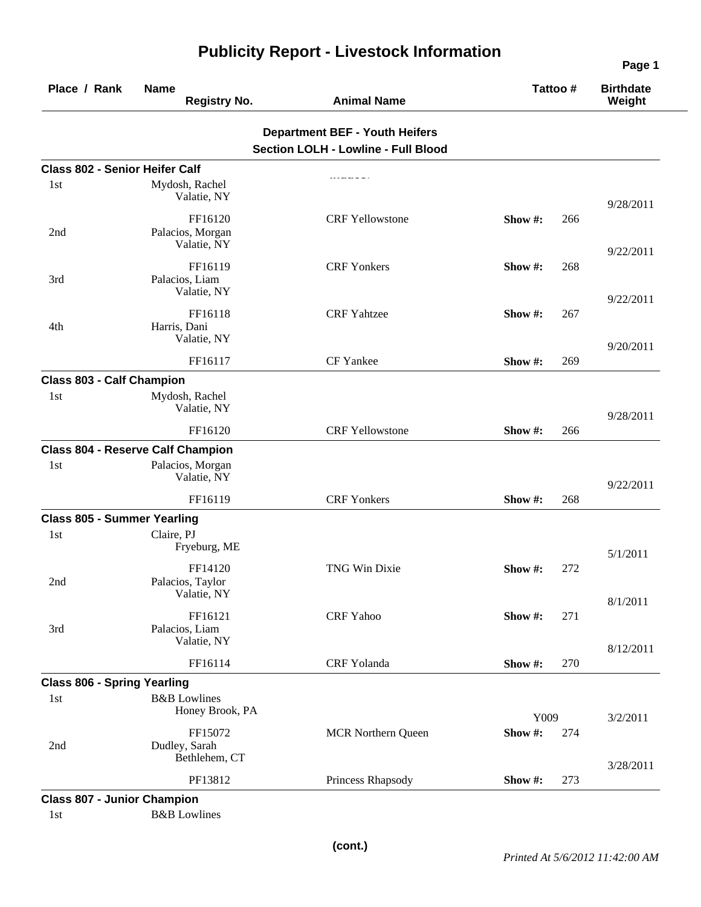| Place / Rank                          | <b>Name</b><br><b>Registry No.</b>         | <b>Animal Name</b>                                                                  |                 | Tattoo# | <b>Birthdate</b><br>Weight |
|---------------------------------------|--------------------------------------------|-------------------------------------------------------------------------------------|-----------------|---------|----------------------------|
|                                       |                                            | <b>Department BEF - Youth Heifers</b><br><b>Section LOLH - Lowline - Full Blood</b> |                 |         |                            |
| <b>Class 802 - Senior Heifer Calf</b> |                                            |                                                                                     |                 |         |                            |
| 1st                                   | Mydosh, Rachel<br>Valatie, NY              |                                                                                     |                 |         | 9/28/2011                  |
| 2nd                                   | FF16120<br>Palacios, Morgan<br>Valatie, NY | <b>CRF Yellowstone</b>                                                              | Show #:         | 266     | 9/22/2011                  |
| 3rd                                   | FF16119<br>Palacios, Liam<br>Valatie, NY   | <b>CRF</b> Yonkers                                                                  | Show $\#$ :     | 268     |                            |
| 4th                                   | FF16118<br>Harris, Dani<br>Valatie, NY     | <b>CRF</b> Yahtzee                                                                  | Show #:         | 267     | 9/22/2011                  |
|                                       | FF16117                                    | CF Yankee                                                                           | Show #:         | 269     | 9/20/2011                  |
| <b>Class 803 - Calf Champion</b>      |                                            |                                                                                     |                 |         |                            |
| 1 <sub>st</sub>                       | Mydosh, Rachel<br>Valatie, NY              |                                                                                     |                 |         | 9/28/2011                  |
|                                       | FF16120                                    | <b>CRF Yellowstone</b>                                                              | Show #:         | 266     |                            |
|                                       | <b>Class 804 - Reserve Calf Champion</b>   |                                                                                     |                 |         |                            |
| 1 <sub>st</sub>                       | Palacios, Morgan<br>Valatie, NY            |                                                                                     |                 |         | 9/22/2011                  |
|                                       | FF16119                                    | <b>CRF</b> Yonkers                                                                  | Show $#$ :      | 268     |                            |
| <b>Class 805 - Summer Yearling</b>    |                                            |                                                                                     |                 |         |                            |
| 1 <sub>st</sub>                       | Claire, PJ<br>Fryeburg, ME                 |                                                                                     |                 |         | 5/1/2011                   |
| 2nd                                   | FF14120<br>Palacios, Taylor<br>Valatie, NY | TNG Win Dixie                                                                       | Show $#$ :      | 272     |                            |
| 3rd                                   | FF16121<br>Palacios, Liam<br>Valatie, NY   | CRF Yahoo                                                                           | Show #:         | 271     | 8/1/2011                   |
|                                       | FF16114                                    | CRF Yolanda                                                                         | Show #:         | 270     | 8/12/2011                  |
| <b>Class 806 - Spring Yearling</b>    |                                            |                                                                                     |                 |         |                            |
| 1st                                   | <b>B&amp;B</b> Lowlines<br>Honey Brook, PA |                                                                                     |                 |         |                            |
| 2nd                                   | FF15072<br>Dudley, Sarah<br>Bethlehem, CT  | <b>MCR Northern Queen</b>                                                           | Y009<br>Show #: | 274     | 3/2/2011                   |
|                                       | PF13812                                    | Princess Rhapsody                                                                   | Show#:          | 273     | 3/28/2011                  |
| <b>Class 807 - Junior Champion</b>    |                                            |                                                                                     |                 |         |                            |
| 1st                                   | <b>B&amp;B</b> Lowlines                    |                                                                                     |                 |         |                            |

## **Publicity Report - Livestock Information**

**Page 1**